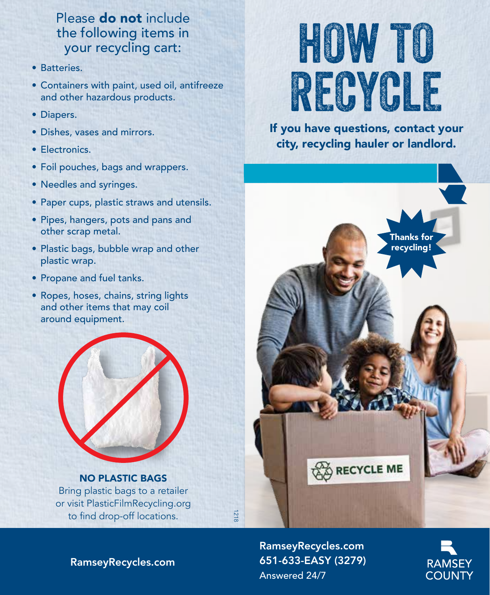### Please do not include the following items in your recycling cart:

- Batteries.
- Containers with paint, used oil, antifreeze and other hazardous products.
- Diapers.
- Dishes, vases and mirrors.
- Electronics.
- Foil pouches, bags and wrappers.
- Needles and syringes.
- Paper cups, plastic straws and utensils.
- Pipes, hangers, pots and pans and other scrap metal.
- Plastic bags, bubble wrap and other plastic wrap.
- Propane and fuel tanks.
- Ropes, hoses, chains, string lights and other items that may coil around equipment.



NO PLASTIC BAGS Bring plastic bags to a retailer or visit PlasticFilmRecycling.org to find drop-off locations.

# how to recycle

If you have questions, contact your city, recycling hauler or landlord.



RamseyRecycles.com 651-633-EASY (3279) Answered 24/7



RamseyRecycles.com